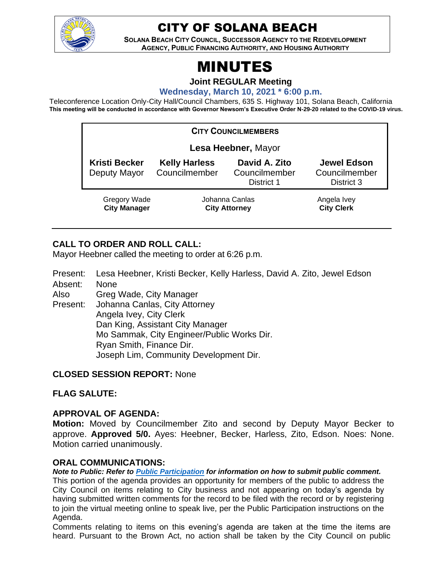

# CITY OF SOLANA BEACH

**SOLANA BEACH CITY COUNCIL, SUCCESSOR AGENCY TO THE REDEVELOPMENT AGENCY, PUBLIC FINANCING AUTHORITY, AND HOUSING AUTHORITY** 

# MINUTES

**Joint REGULAR Meeting**

**Wednesday, March 10, 2021 \* 6:00 p.m.**

Teleconference Location Only-City Hall/Council Chambers, 635 S. Highway 101, Solana Beach, California **This meeting will be conducted in accordance with Governor Newsom's Executive Order N-29-20 related to the COVID-19 virus.**

| <b>CITY COUNCILMEMBERS</b>                 |                                        |                                              |                                                   |
|--------------------------------------------|----------------------------------------|----------------------------------------------|---------------------------------------------------|
| Lesa Heebner, Mayor                        |                                        |                                              |                                                   |
| <b>Kristi Becker</b><br>Deputy Mayor       | <b>Kelly Harless</b><br>Councilmember  | David A. Zito<br>Councilmember<br>District 1 | <b>Jewel Edson</b><br>Councilmember<br>District 3 |
| <b>Gregory Wade</b><br><b>City Manager</b> | Johanna Canlas<br><b>City Attorney</b> |                                              | Angela Ivey<br><b>City Clerk</b>                  |

# **CALL TO ORDER AND ROLL CALL:**

Mayor Heebner called the meeting to order at 6:26 p.m.

Present: Lesa Heebner, Kristi Becker, Kelly Harless, David A. Zito, Jewel Edson Absent: None

Also Greg Wade, City Manager

Present: Johanna Canlas, City Attorney Angela Ivey, City Clerk Dan King, Assistant City Manager Mo Sammak, City Engineer/Public Works Dir. Ryan Smith, Finance Dir. Joseph Lim, Community Development Dir.

#### **CLOSED SESSION REPORT:** None

**FLAG SALUTE:**

#### **APPROVAL OF AGENDA:**

**Motion:** Moved by Councilmember Zito and second by Deputy Mayor Becker to approve. **Approved 5/0.** Ayes: Heebner, Becker, Harless, Zito, Edson. Noes: None. Motion carried unanimously.

#### **ORAL COMMUNICATIONS:**

*Note to Public: Refer to Public Participation for information on how to submit public comment.*  This portion of the agenda provides an opportunity for members of the public to address the City Council on items relating to City business and not appearing on today's agenda by having submitted written comments for the record to be filed with the record or by registering to join the virtual meeting online to speak live, per the Public Participation instructions on the Agenda.

Comments relating to items on this evening's agenda are taken at the time the items are heard. Pursuant to the Brown Act, no action shall be taken by the City Council on public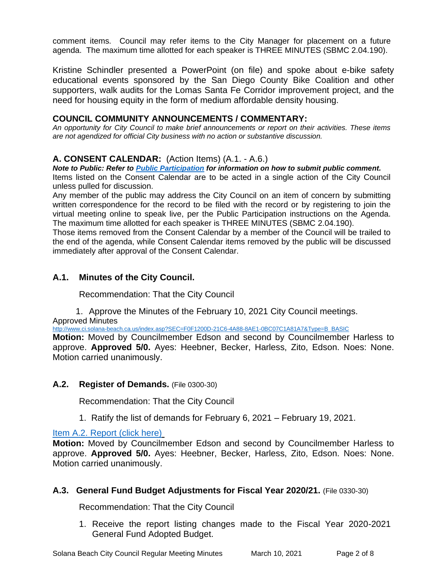comment items. Council may refer items to the City Manager for placement on a future agenda. The maximum time allotted for each speaker is THREE MINUTES (SBMC 2.04.190).

Kristine Schindler presented a PowerPoint (on file) and spoke about e-bike safety educational events sponsored by the San Diego County Bike Coalition and other supporters, walk audits for the Lomas Santa Fe Corridor improvement project, and the need for housing equity in the form of medium affordable density housing.

### **COUNCIL COMMUNITY ANNOUNCEMENTS / COMMENTARY:**

*An opportunity for City Council to make brief announcements or report on their activities. These items are not agendized for official City business with no action or substantive discussion.* 

#### **A. CONSENT CALENDAR:** (Action Items) (A.1. - A.6.)

*Note to Public: Refer to Public Participation for information on how to submit public comment.*  Items listed on the Consent Calendar are to be acted in a single action of the City Council unless pulled for discussion.

Any member of the public may address the City Council on an item of concern by submitting written correspondence for the record to be filed with the record or by registering to join the virtual meeting online to speak live, per the Public Participation instructions on the Agenda. The maximum time allotted for each speaker is THREE MINUTES (SBMC 2.04.190).

Those items removed from the Consent Calendar by a member of the Council will be trailed to the end of the agenda, while Consent Calendar items removed by the public will be discussed immediately after approval of the Consent Calendar.

# **A.1. Minutes of the City Council.**

Recommendation: That the City Council

1. Approve the Minutes of the February 10, 2021 City Council meetings. Approved Minutes

[http://www.ci.solana-beach.ca.us/index.asp?SEC=F0F1200D-21C6-4A88-8AE1-0BC07C1A81A7&Type=B\\_BASIC](http://www.ci.solana-beach.ca.us/index.asp?SEC=F0F1200D-21C6-4A88-8AE1-0BC07C1A81A7&Type=B_BASIC)

**Motion:** Moved by Councilmember Edson and second by Councilmember Harless to approve. **Approved 5/0.** Ayes: Heebner, Becker, Harless, Zito, Edson. Noes: None. Motion carried unanimously.

#### **A.2. Register of Demands.** (File 0300-30)

Recommendation: That the City Council

1. Ratify the list of demands for February 6, 2021 – February 19, 2021.

#### [Item A.2. Report \(click here\)](https://solanabeach.govoffice3.com/vertical/Sites/%7B840804C2-F869-4904-9AE3-720581350CE7%7D/uploads/Item_A.2._Report_(click_here)_3-10-21_-O.pdf)

**Motion:** Moved by Councilmember Edson and second by Councilmember Harless to approve. **Approved 5/0.** Ayes: Heebner, Becker, Harless, Zito, Edson. Noes: None. Motion carried unanimously.

#### **A.3. General Fund Budget Adjustments for Fiscal Year 2020/21.** (File 0330-30)

Recommendation: That the City Council

1. Receive the report listing changes made to the Fiscal Year 2020-2021 General Fund Adopted Budget.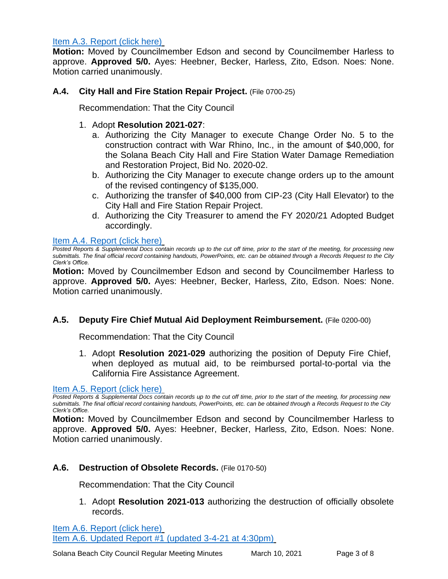#### [Item A.3. Report \(click here\)](https://solanabeach.govoffice3.com/vertical/Sites/%7B840804C2-F869-4904-9AE3-720581350CE7%7D/uploads/Item_A.3._Report_(click_here)_3-10-21_-O.pdf)

**Motion:** Moved by Councilmember Edson and second by Councilmember Harless to approve. **Approved 5/0.** Ayes: Heebner, Becker, Harless, Zito, Edson. Noes: None. Motion carried unanimously.

### **A.4. City Hall and Fire Station Repair Project.** (File 0700-25)

Recommendation: That the City Council

# 1. Adopt **Resolution 2021-027**:

- a. Authorizing the City Manager to execute Change Order No. 5 to the construction contract with War Rhino, Inc., in the amount of \$40,000, for the Solana Beach City Hall and Fire Station Water Damage Remediation and Restoration Project, Bid No. 2020-02.
- b. Authorizing the City Manager to execute change orders up to the amount of the revised contingency of \$135,000.
- c. Authorizing the transfer of \$40,000 from CIP-23 (City Hall Elevator) to the City Hall and Fire Station Repair Project.
- d. Authorizing the City Treasurer to amend the FY 2020/21 Adopted Budget accordingly.

#### [Item A.4. Report \(click here\)](https://solanabeach.govoffice3.com/vertical/Sites/%7B840804C2-F869-4904-9AE3-720581350CE7%7D/uploads/Item_A.4._Report_(click_here)_3-10-21_-O(1).pdf)

*Posted Reports & Supplemental Docs contain records up to the cut off time, prior to the start of the meeting, for processing new submittals. The final official record containing handouts, PowerPoints, etc. can be obtained through a Records Request to the City Clerk's Office.*

**Motion:** Moved by Councilmember Edson and second by Councilmember Harless to approve. **Approved 5/0.** Ayes: Heebner, Becker, Harless, Zito, Edson. Noes: None. Motion carried unanimously.

#### **A.5. Deputy Fire Chief Mutual Aid Deployment Reimbursement.** (File 0200-00)

Recommendation: That the City Council

1. Adopt **Resolution 2021-029** authorizing the position of Deputy Fire Chief, when deployed as mutual aid, to be reimbursed portal-to-portal via the California Fire Assistance Agreement.

#### [Item A.5. Report \(click here\)](https://solanabeach.govoffice3.com/vertical/Sites/%7B840804C2-F869-4904-9AE3-720581350CE7%7D/uploads/Item_A.5._Report_(click_here)_3-10-21_-O.pdf)

*Posted Reports & Supplemental Docs contain records up to the cut off time, prior to the start of the meeting, for processing new submittals. The final official record containing handouts, PowerPoints, etc. can be obtained through a Records Request to the City Clerk's Office.*

**Motion:** Moved by Councilmember Edson and second by Councilmember Harless to approve. **Approved 5/0.** Ayes: Heebner, Becker, Harless, Zito, Edson. Noes: None. Motion carried unanimously.

#### **A.6. Destruction of Obsolete Records.** (File 0170-50)

Recommendation: That the City Council

1. Adopt **Resolution 2021-013** authorizing the destruction of officially obsolete records.

[Item A.6. Report \(click here\)](https://solanabeach.govoffice3.com/vertical/Sites/%7B840804C2-F869-4904-9AE3-720581350CE7%7D/uploads/Item_A.6._Report_(click_here)_3-10-21-O(2).pdf) [Item A.6. Updated Report #1 \(updated 3-4-21 at 4:30pm\)](https://solanabeach.govoffice3.com/vertical/Sites/%7B840804C2-F869-4904-9AE3-720581350CE7%7D/uploads/Item_A.6._Staff_Report_Update_1_-_O.pdf)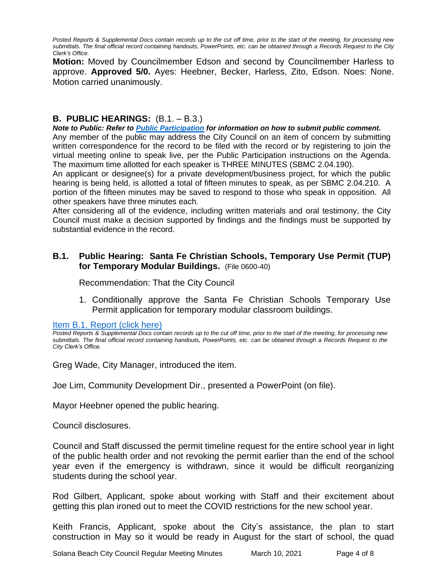*Posted Reports & Supplemental Docs contain records up to the cut off time, prior to the start of the meeting, for processing new submittals. The final official record containing handouts, PowerPoints, etc. can be obtained through a Records Request to the City Clerk's Office.*

**Motion:** Moved by Councilmember Edson and second by Councilmember Harless to approve. **Approved 5/0.** Ayes: Heebner, Becker, Harless, Zito, Edson. Noes: None. Motion carried unanimously.

#### **B. PUBLIC HEARINGS:** (B.1. – B.3.)

#### *Note to Public: Refer to Public Participation for information on how to submit public comment.*

Any member of the public may address the City Council on an item of concern by submitting written correspondence for the record to be filed with the record or by registering to join the virtual meeting online to speak live, per the Public Participation instructions on the Agenda. The maximum time allotted for each speaker is THREE MINUTES (SBMC 2.04.190).

An applicant or designee(s) for a private development/business project, for which the public hearing is being held, is allotted a total of fifteen minutes to speak, as per SBMC 2.04.210. A portion of the fifteen minutes may be saved to respond to those who speak in opposition. All other speakers have three minutes each.

After considering all of the evidence, including written materials and oral testimony, the City Council must make a decision supported by findings and the findings must be supported by substantial evidence in the record.

#### **B.1. Public Hearing: Santa Fe Christian Schools, Temporary Use Permit (TUP) for Temporary Modular Buildings.** (File 0600-40)

Recommendation: That the City Council

1. Conditionally approve the Santa Fe Christian Schools Temporary Use Permit application for temporary modular classroom buildings.

[Item B.1. Report \(click](https://solanabeach.govoffice3.com/vertical/Sites/%7B840804C2-F869-4904-9AE3-720581350CE7%7D/uploads/Item_B.1._Report_(click_here)_3-10-21_-O.pdf) here)

Posted Reports & Supplemental Docs contain records up to the cut off time, prior to the start of the meeting, for processing new *submittals. The final official record containing handouts, PowerPoints, etc. can be obtained through a Records Request to the City Clerk's Office.*

Greg Wade, City Manager, introduced the item.

Joe Lim, Community Development Dir., presented a PowerPoint (on file).

Mayor Heebner opened the public hearing.

Council disclosures.

Council and Staff discussed the permit timeline request for the entire school year in light of the public health order and not revoking the permit earlier than the end of the school year even if the emergency is withdrawn, since it would be difficult reorganizing students during the school year.

Rod Gilbert, Applicant, spoke about working with Staff and their excitement about getting this plan ironed out to meet the COVID restrictions for the new school year.

Keith Francis, Applicant, spoke about the City's assistance, the plan to start construction in May so it would be ready in August for the start of school, the quad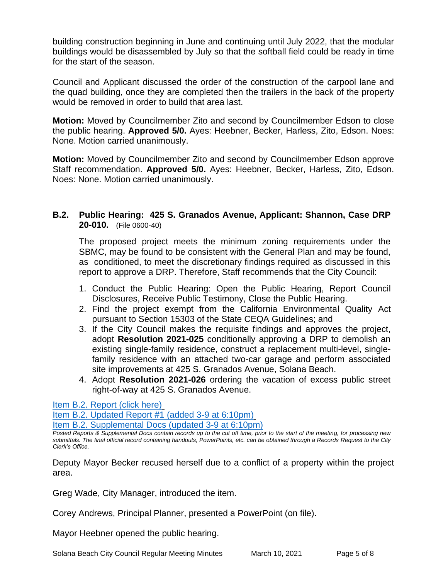building construction beginning in June and continuing until July 2022, that the modular buildings would be disassembled by July so that the softball field could be ready in time for the start of the season.

Council and Applicant discussed the order of the construction of the carpool lane and the quad building, once they are completed then the trailers in the back of the property would be removed in order to build that area last.

**Motion:** Moved by Councilmember Zito and second by Councilmember Edson to close the public hearing. **Approved 5/0.** Ayes: Heebner, Becker, Harless, Zito, Edson. Noes: None. Motion carried unanimously.

**Motion:** Moved by Councilmember Zito and second by Councilmember Edson approve Staff recommendation. **Approved 5/0.** Ayes: Heebner, Becker, Harless, Zito, Edson. Noes: None. Motion carried unanimously.

### **B.2. Public Hearing: 425 S. Granados Avenue, Applicant: Shannon, Case DRP 20-010.** (File 0600-40)

The proposed project meets the minimum zoning requirements under the SBMC, may be found to be consistent with the General Plan and may be found, as conditioned, to meet the discretionary findings required as discussed in this report to approve a DRP. Therefore, Staff recommends that the City Council:

- 1. Conduct the Public Hearing: Open the Public Hearing, Report Council Disclosures, Receive Public Testimony, Close the Public Hearing.
- 2. Find the project exempt from the California Environmental Quality Act pursuant to Section 15303 of the State CEQA Guidelines; and
- 3. If the City Council makes the requisite findings and approves the project, adopt **Resolution 2021-025** conditionally approving a DRP to demolish an existing single-family residence, construct a replacement multi-level, singlefamily residence with an attached two-car garage and perform associated site improvements at 425 S. Granados Avenue, Solana Beach.
- 4. Adopt **Resolution 2021-026** ordering the vacation of excess public street right-of-way at 425 S. Granados Avenue.

[Item B.2. Report \(click here\)](https://solanabeach.govoffice3.com/vertical/Sites/%7B840804C2-F869-4904-9AE3-720581350CE7%7D/uploads/Item_B.2._Report_(click_here)_3-10-21_-_O.pdf)

[Item B.2. Updated Report #1 \(added 3-9 at 6:10pm\)](https://solanabeach.govoffice3.com/vertical/Sites/%7B840804C2-F869-4904-9AE3-720581350CE7%7D/uploads/Item_B.2._Updated_Report_1_(upd._3-9-21)_-_O.pdf)

[Item B.2. Supplemental Docs \(updated 3-9 at 6:10pm\)](https://solanabeach.govoffice3.com/vertical/Sites/%7B840804C2-F869-4904-9AE3-720581350CE7%7D/uploads/Item_B.2._Supplemental_Docs_(upd._3-9)_-_O.pdf)

Greg Wade, City Manager, introduced the item.

Corey Andrews, Principal Planner, presented a PowerPoint (on file).

Mayor Heebner opened the public hearing.

*Posted Reports & Supplemental Docs contain records up to the cut off time, prior to the start of the meeting, for processing new submittals. The final official record containing handouts, PowerPoints, etc. can be obtained through a Records Request to the City Clerk's Office.*

Deputy Mayor Becker recused herself due to a conflict of a property within the project area.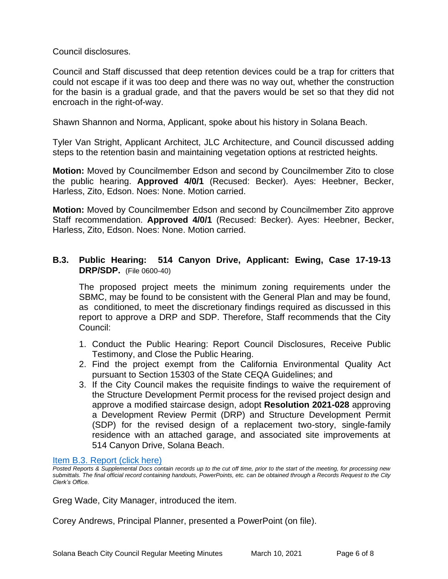Council disclosures.

Council and Staff discussed that deep retention devices could be a trap for critters that could not escape if it was too deep and there was no way out, whether the construction for the basin is a gradual grade, and that the pavers would be set so that they did not encroach in the right-of-way.

Shawn Shannon and Norma, Applicant, spoke about his history in Solana Beach.

Tyler Van Stright, Applicant Architect, JLC Architecture, and Council discussed adding steps to the retention basin and maintaining vegetation options at restricted heights.

**Motion:** Moved by Councilmember Edson and second by Councilmember Zito to close the public hearing. **Approved 4/0/1** (Recused: Becker). Ayes: Heebner, Becker, Harless, Zito, Edson. Noes: None. Motion carried.

**Motion:** Moved by Councilmember Edson and second by Councilmember Zito approve Staff recommendation. **Approved 4/0/1** (Recused: Becker). Ayes: Heebner, Becker, Harless, Zito, Edson. Noes: None. Motion carried.

# **B.3. Public Hearing: 514 Canyon Drive, Applicant: Ewing, Case 17-19-13 DRP/SDP.** (File 0600-40)

The proposed project meets the minimum zoning requirements under the SBMC, may be found to be consistent with the General Plan and may be found, as conditioned, to meet the discretionary findings required as discussed in this report to approve a DRP and SDP. Therefore, Staff recommends that the City Council:

- 1. Conduct the Public Hearing: Report Council Disclosures, Receive Public Testimony, and Close the Public Hearing.
- 2. Find the project exempt from the California Environmental Quality Act pursuant to Section 15303 of the State CEQA Guidelines; and
- 3. If the City Council makes the requisite findings to waive the requirement of the Structure Development Permit process for the revised project design and approve a modified staircase design, adopt **Resolution 2021-028** approving a Development Review Permit (DRP) and Structure Development Permit (SDP) for the revised design of a replacement two-story, single-family residence with an attached garage, and associated site improvements at 514 Canyon Drive, Solana Beach.

[Item B.3. Report \(click here\)](https://solanabeach.govoffice3.com/vertical/Sites/%7B840804C2-F869-4904-9AE3-720581350CE7%7D/uploads/Item_B.3._Report_(click_here)_3-10-21_-O.pdf)

Greg Wade, City Manager, introduced the item.

Corey Andrews, Principal Planner, presented a PowerPoint (on file).

*Posted Reports & Supplemental Docs contain records up to the cut off time, prior to the start of the meeting, for processing new submittals. The final official record containing handouts, PowerPoints, etc. can be obtained through a Records Request to the City Clerk's Office.*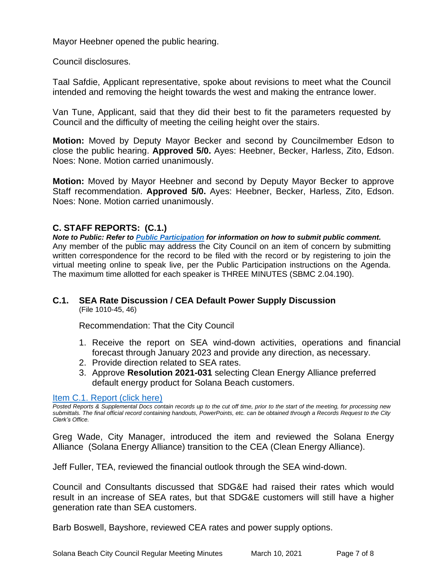Mayor Heebner opened the public hearing.

Council disclosures.

Taal Safdie, Applicant representative, spoke about revisions to meet what the Council intended and removing the height towards the west and making the entrance lower.

Van Tune, Applicant, said that they did their best to fit the parameters requested by Council and the difficulty of meeting the ceiling height over the stairs.

**Motion:** Moved by Deputy Mayor Becker and second by Councilmember Edson to close the public hearing. **Approved 5/0.** Ayes: Heebner, Becker, Harless, Zito, Edson. Noes: None. Motion carried unanimously.

**Motion:** Moved by Mayor Heebner and second by Deputy Mayor Becker to approve Staff recommendation. **Approved 5/0.** Ayes: Heebner, Becker, Harless, Zito, Edson. Noes: None. Motion carried unanimously.

#### **C. STAFF REPORTS: (C.1.)**

*Note to Public: Refer to Public Participation for information on how to submit public comment.*  Any member of the public may address the City Council on an item of concern by submitting written correspondence for the record to be filed with the record or by registering to join the virtual meeting online to speak live, per the Public Participation instructions on the Agenda. The maximum time allotted for each speaker is THREE MINUTES (SBMC 2.04.190).

#### **C.1. SEA Rate Discussion / CEA Default Power Supply Discussion** (File 1010-45, 46)

Recommendation: That the City Council

- 1. Receive the report on SEA wind-down activities, operations and financial forecast through January 2023 and provide any direction, as necessary.
- 2. Provide direction related to SEA rates.
- 3. Approve **Resolution 2021-031** selecting Clean Energy Alliance preferred [default energy product for Solana Beach customers.](https://solanabeach.govoffice3.com/vertical/Sites/%7B840804C2-F869-4904-9AE3-720581350CE7%7D/uploads/Item_C.1._Report_(click_here)_03-10-21_-_O.pdf)

#### [Item C.1. Report \(click here\)](https://solanabeach.govoffice3.com/vertical/Sites/%7B840804C2-F869-4904-9AE3-720581350CE7%7D/uploads/Item_C.1._Report_(click_here)_03-10-21_-_O.pdf)

*Posted Reports & Supplemental Docs contain records up to the cut off time, prior to the start of the meeting, for processing new submittals. The final official record containing handouts, PowerPoints, etc. can be obtained through a Records Request to the City Clerk's Office.*

Greg Wade, City Manager, introduced the item and reviewed the Solana Energy Alliance (Solana Energy Alliance) transition to the CEA (Clean Energy Alliance).

Jeff Fuller, TEA, reviewed the financial outlook through the SEA wind-down.

Council and Consultants discussed that SDG&E had raised their rates which would result in an increase of SEA rates, but that SDG&E customers will still have a higher generation rate than SEA customers.

Barb Boswell, Bayshore, reviewed CEA rates and power supply options.